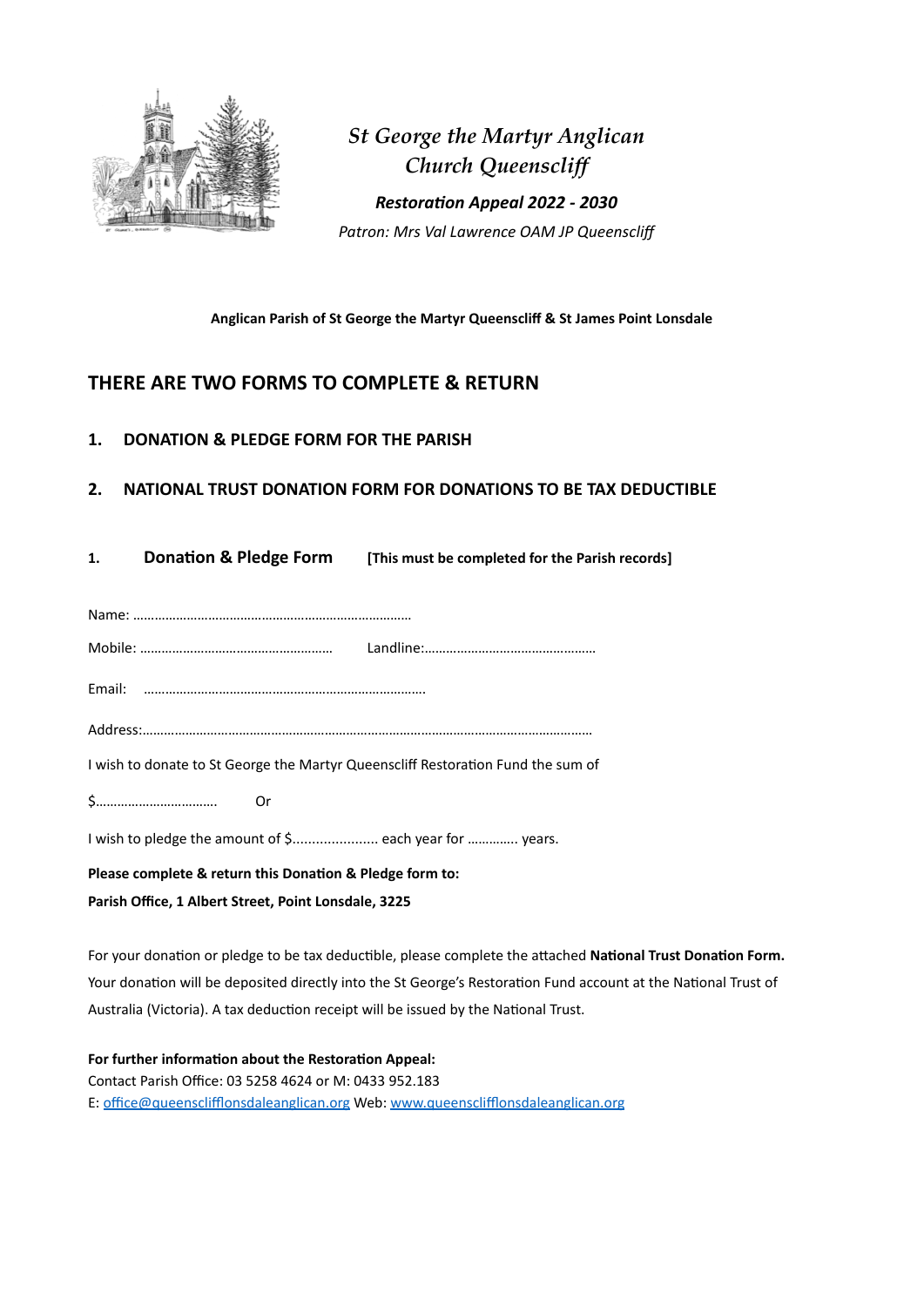

*St George the Martyr Anglican Church Queenscliff Restoration Appeal 2022 - 2030 Patron: Mrs Val Lawrence OAM JP Queensclif*

#### **Anglican Parish of St George the Martyr Queenscliff & St James Point Lonsdale**

## **THERE ARE TWO FORMS TO COMPLETE & RETURN**

**1. DONATION & PLEDGE FORM FOR THE PARISH**

## **2. NATIONAL TRUST DONATION FORM FOR DONATIONS TO BE TAX DEDUCTIBLE**

| 1.                                                                               |        | <b>Donation &amp; Pledge Form</b> [This must be completed for the Parish records] |  |  |
|----------------------------------------------------------------------------------|--------|-----------------------------------------------------------------------------------|--|--|
|                                                                                  |        |                                                                                   |  |  |
|                                                                                  |        |                                                                                   |  |  |
|                                                                                  |        |                                                                                   |  |  |
|                                                                                  |        |                                                                                   |  |  |
| I wish to donate to St George the Martyr Queenscliff Restoration Fund the sum of |        |                                                                                   |  |  |
|                                                                                  | $$$ Or |                                                                                   |  |  |
| I wish to pledge the amount of \$ each year for  years.                          |        |                                                                                   |  |  |
| Please complete & return this Donation & Pledge form to:                         |        |                                                                                   |  |  |

**Parish Office, 1 Albert Street, Point Lonsdale, 3225**

For your donation or pledge to be tax deductible, please complete the attached **National Trust Donation Form.**  Your donation will be deposited directly into the St George's Restoration Fund account at the National Trust of Australia (Victoria). A tax deduction receipt will be issued by the National Trust.

**For further information about the Restoration Appeal:** Contact Parish Office: 03 5258 4624 or M: 0433 952.183 E: [office@queensclifflonsdaleanglican.org](mailto:office@queensclifflonsdaleanglican.org) Web: [www.queensclifflonsdaleanglican.org](http://www.queensclifflonsdaleanglican.org)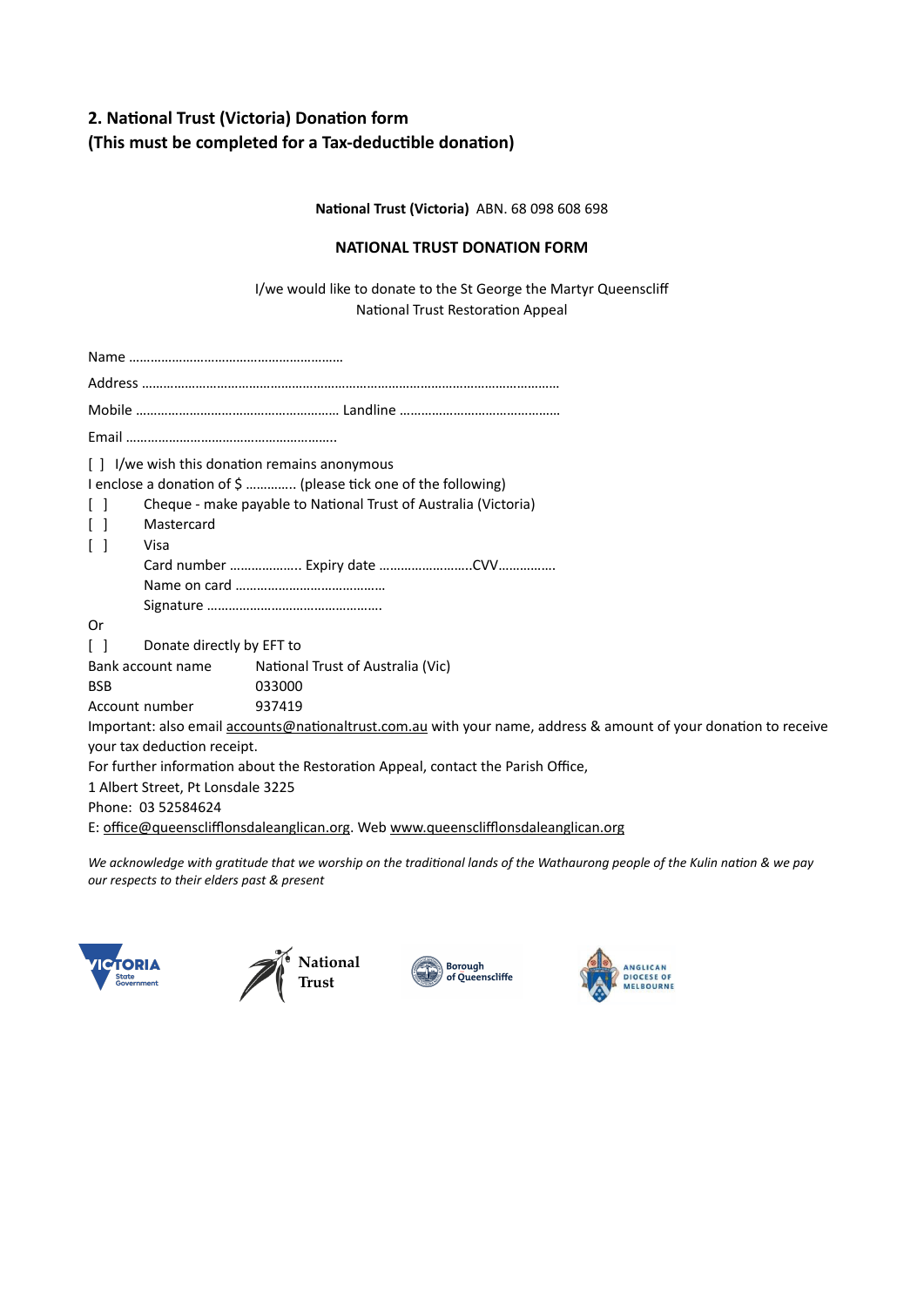# **2. National Trust (Victoria) Donation form (This must be completed for a Tax-deductible donation)**

**National Trust (Victoria)** ABN. 68 098 608 698

#### **NATIONAL TRUST DONATION FORM**

I/we would like to donate to the St George the Martyr Queenscliff National Trust Restoration Appeal

| I/we wish this donation remains anonymous<br>$\Box$                                                              |                                   |  |  |  |  |  |
|------------------------------------------------------------------------------------------------------------------|-----------------------------------|--|--|--|--|--|
| I enclose a donation of \$  (please tick one of the following)                                                   |                                   |  |  |  |  |  |
| Cheque - make payable to National Trust of Australia (Victoria)                                                  |                                   |  |  |  |  |  |
| Mastercard                                                                                                       |                                   |  |  |  |  |  |
| $\lceil$ 1<br>Visa                                                                                               |                                   |  |  |  |  |  |
|                                                                                                                  |                                   |  |  |  |  |  |
|                                                                                                                  |                                   |  |  |  |  |  |
|                                                                                                                  |                                   |  |  |  |  |  |
| 0r                                                                                                               |                                   |  |  |  |  |  |
|                                                                                                                  | Donate directly by EFT to         |  |  |  |  |  |
| Bank account name                                                                                                | National Trust of Australia (Vic) |  |  |  |  |  |
| <b>BSB</b>                                                                                                       | 033000                            |  |  |  |  |  |
| Account number                                                                                                   | 937419                            |  |  |  |  |  |
| Important: also email accounts@nationaltrust.com.au with your name, address & amount of your donation to receive |                                   |  |  |  |  |  |
| your tax deduction receipt.                                                                                      |                                   |  |  |  |  |  |
| For further information about the Restoration Appeal, contact the Parish Office,                                 |                                   |  |  |  |  |  |
| 1 Albert Street, Pt Lonsdale 3225                                                                                |                                   |  |  |  |  |  |
| Phone: 03 52584624                                                                                               |                                   |  |  |  |  |  |
| E: office@queensclifflonsdaleanglican.org. Web www.queensclifflonsdaleanglican.org                               |                                   |  |  |  |  |  |

*We acknowledge with gratitude that we worship on the traditional lands of the Wathaurong people of the Kulin nation & we pay our respects to their elders past & present*